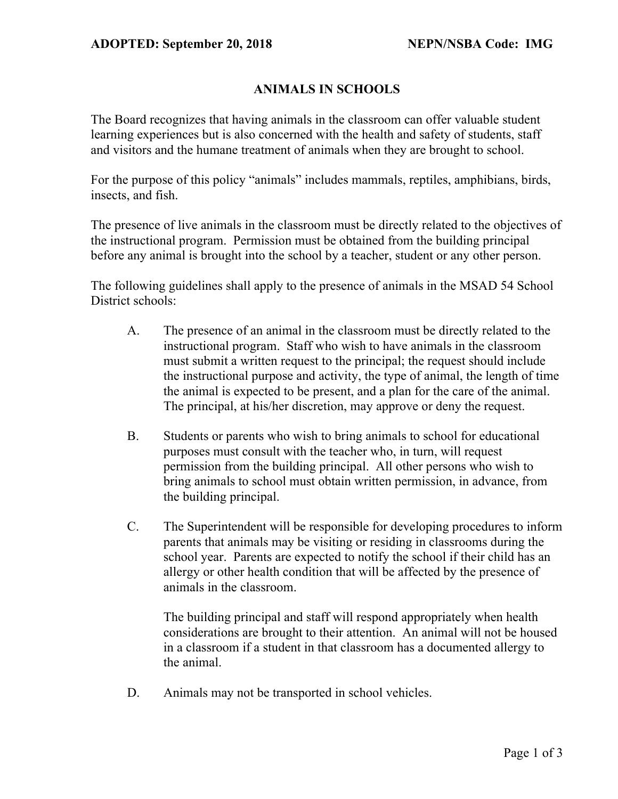## **ANIMALS IN SCHOOLS**

The Board recognizes that having animals in the classroom can offer valuable student learning experiences but is also concerned with the health and safety of students, staff and visitors and the humane treatment of animals when they are brought to school.

For the purpose of this policy "animals" includes mammals, reptiles, amphibians, birds, insects, and fish.

The presence of live animals in the classroom must be directly related to the objectives of the instructional program. Permission must be obtained from the building principal before any animal is brought into the school by a teacher, student or any other person.

The following guidelines shall apply to the presence of animals in the MSAD 54 School District schools:

- A. The presence of an animal in the classroom must be directly related to the instructional program. Staff who wish to have animals in the classroom must submit a written request to the principal; the request should include the instructional purpose and activity, the type of animal, the length of time the animal is expected to be present, and a plan for the care of the animal. The principal, at his/her discretion, may approve or deny the request.
- B. Students or parents who wish to bring animals to school for educational purposes must consult with the teacher who, in turn, will request permission from the building principal. All other persons who wish to bring animals to school must obtain written permission, in advance, from the building principal.
- C. The Superintendent will be responsible for developing procedures to inform parents that animals may be visiting or residing in classrooms during the school year. Parents are expected to notify the school if their child has an allergy or other health condition that will be affected by the presence of animals in the classroom.

The building principal and staff will respond appropriately when health considerations are brought to their attention. An animal will not be housed in a classroom if a student in that classroom has a documented allergy to the animal.

D. Animals may not be transported in school vehicles.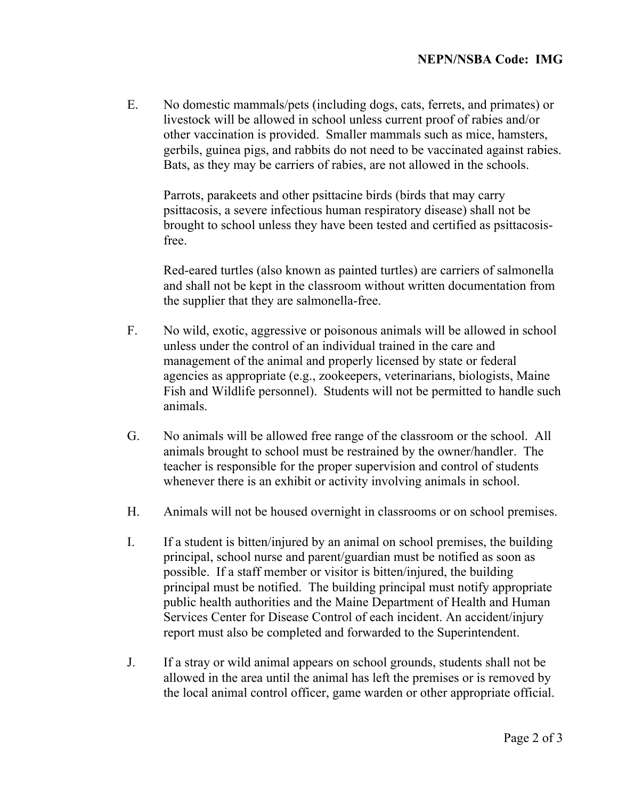E. No domestic mammals/pets (including dogs, cats, ferrets, and primates) or livestock will be allowed in school unless current proof of rabies and/or other vaccination is provided. Smaller mammals such as mice, hamsters, gerbils, guinea pigs, and rabbits do not need to be vaccinated against rabies. Bats, as they may be carriers of rabies, are not allowed in the schools.

Parrots, parakeets and other psittacine birds (birds that may carry psittacosis, a severe infectious human respiratory disease) shall not be brought to school unless they have been tested and certified as psittacosisfree.

Red-eared turtles (also known as painted turtles) are carriers of salmonella and shall not be kept in the classroom without written documentation from the supplier that they are salmonella-free.

- F. No wild, exotic, aggressive or poisonous animals will be allowed in school unless under the control of an individual trained in the care and management of the animal and properly licensed by state or federal agencies as appropriate (e.g., zookeepers, veterinarians, biologists, Maine Fish and Wildlife personnel). Students will not be permitted to handle such animals.
- G. No animals will be allowed free range of the classroom or the school. All animals brought to school must be restrained by the owner/handler. The teacher is responsible for the proper supervision and control of students whenever there is an exhibit or activity involving animals in school.
- H. Animals will not be housed overnight in classrooms or on school premises.
- I. If a student is bitten/injured by an animal on school premises, the building principal, school nurse and parent/guardian must be notified as soon as possible. If a staff member or visitor is bitten/injured, the building principal must be notified. The building principal must notify appropriate public health authorities and the Maine Department of Health and Human Services Center for Disease Control of each incident. An accident/injury report must also be completed and forwarded to the Superintendent.
- J. If a stray or wild animal appears on school grounds, students shall not be allowed in the area until the animal has left the premises or is removed by the local animal control officer, game warden or other appropriate official.